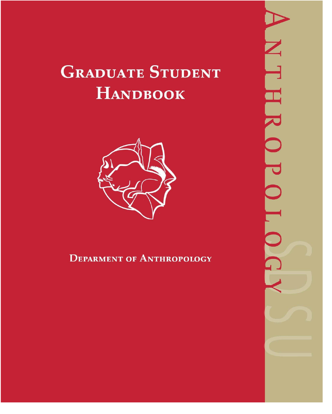# **GRADUATE STUDENT HANDBOOK**



# **DEPARMENT OF ANTHROPOLOGY**

l  $\Box$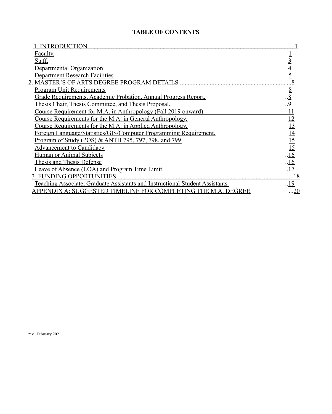# **TABLE OF CONTENTS**

| <b>INTRODUCTION</b>                                                          |                                 |
|------------------------------------------------------------------------------|---------------------------------|
| Faculty.                                                                     |                                 |
| Staff.                                                                       |                                 |
| Departmental Organization                                                    |                                 |
| <b>Department Research Facilities</b>                                        |                                 |
| <b>MASTER'S OF ARTS DEGREE PROGRAM DETAILS</b>                               |                                 |
| <b>Program Unit Requirements</b>                                             | $rac{8}{8}$ 9                   |
| Grade Requirements, Academic Probation, Annual Progress Report.              |                                 |
| Thesis Chair, Thesis Committee, and Thesis Proposal.                         |                                 |
| Course Requirement for M.A. in Anthropology (Fall 2019 onward)               | 11                              |
| Course Requirements for the M.A. in General Anthropology.                    | 12                              |
| Course Requirements for the M.A. in Applied Anthropology.                    | 13                              |
| Foreign Language/Statistics/GIS/Computer Programming Requirement.            | $\frac{14}{15}$ $\frac{15}{16}$ |
| Program of Study (POS) & ANTH 795, 797, 798, and 799                         |                                 |
| <b>Advancement to Candidacy</b>                                              |                                 |
| <b>Human or Animal Subjects</b>                                              |                                 |
| Thesis and Thesis Defense                                                    | .16                             |
| Leave of Absence (LOA) and Program Time Limit.                               | .17                             |
| <b>3. FUNDING OPPORTUNITIES</b>                                              | 18                              |
| Teaching Associate, Graduate Assistants and Instructional Student Assistants | .19                             |
| PPENDIX A: SUGGESTED TIMELIN<br><b>E FOR COMPLETING THE M.A. DEGREE</b>      | <u>.20</u>                      |

rev. February 2021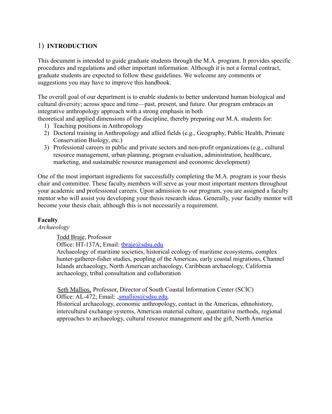# 1) **INTRODUCTION**

This document is intended to guide graduate students through the M.A. program. It provides specific procedures and regulations and other important information. Although it is not a formal contract, graduate students are expected to follow these guidelines. We welcome any comments or suggestions you may have to improve this handbook.

The overall goal of our department is to enable students to better understand human biological and cultural diversity; across space and time—past, present, and future. Our program embraces an integrative anthropology approach with a strong emphasis in both

theoretical and applied dimensions of the discipline, thereby preparing our M.A. students for:

- 1) Teaching positions in Anthropology
- 2) Doctoral training in Anthropology and allied fields (e.g., Geography, Public Health, Primate Conservation Biology, etc.)
- 3) Professional careers in public and private sectors and non-profit organizations (e.g., cultural resource management, urban planning, program evaluation, administration, healthcare, marketing, and sustainable resource management and economic development)

One of the most important ingredients for successfully completing the M.A. program is your thesis chair and committee. These faculty members will serve as your most important mentors throughout your academic and professional careers. Upon admission to our program, you are assigned a faculty mentor who will assist you developing your thesis research ideas. Generally, your faculty mentor will become your thesis chair, although this is not necessarily a requirement.

# <span id="page-2-0"></span>**Faculty**

*Archaeology*

Todd Braje, Professor

Office: HT-137A; Email: [tbraje@sdsu.edu](mailto:tbraje@sdsu.edu)

Archaeology of maritime societies, historical ecology of maritime ecosystems, complex hunter-gatherer-fisher studies, peopling of the Americas, early coastal migrations, Channel Islands archaeology, North American archaeology, Caribbean archaeology, California archaeology, tribal consultation and collaboration

<sup>U</sup>Seth Mallios,<sup>U</sup> Professor, Director of South Coastal Information Center (SCIC) Office: AL-472; Email: [smallios@sdsu.edu](mailto:HUsmallios@sdsu.eduU).

Historical archaeology, economic anthropology, contact in the Americas, ethnohistory, intercultural exchange systems, American material culture, quantitative methods, regional approaches to archaeology, cultural resource management and the gift, North America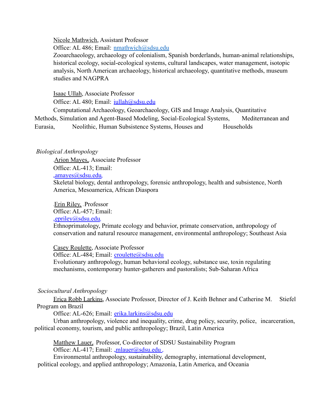Nicole Mathwich, Assistant Professor

Office: AL 486; Email: [nmathwich@sdsu.edu](mailto:nmathwich@sdsu.edu)

Zooarchaeology, archaeology of colonialism, Spanish borderlands, human-animal relationships, historical ecology, social-ecological systems, cultural landscapes, water management, isotopic analysis, North American archaeology, historical archaeology, quantitative methods, museum studies and NAGPRA

Isaac Ullah, Associate Professor

Office: AL 480; Email: jullah@sdsu.edu

Computational Archaeology, Geoarchaeology, GIS and Image Analysis, Quantitative Methods, Simulation and Agent-Based Modeling, Social-Ecological Systems, Mediterranean and Eurasia, Neolithic, Human Subsistence Systems, Houses and Households

#### *Biological Anthropology*

Arion Mayes, Associate Professor Office: AL-413; Email:  $amayes@sdsu.edu$ Skeletal biology, dental anthropology, forensic anthropology, health and subsistence, North America, Mesoamerica, African Diaspora

Erin Riley, Professor Office: AL-457; Email:  $e$ [epriley@sdsu.edu](mailto:HUepriley@sdsu.eduU)

Ethnoprimatology, Primate ecology and behavior, primate conservation, anthropology of conservation and natural resource management, environmental anthropology; Southeast Asia

Casey Roulette, Associate Professor

Office: AL-484; Email: [croulette@sdsu.edu](mailto:croulette@sdsu.edu) Evolutionary anthropology, human behavioral ecology, substance use, toxin regulating mechanisms, contemporary hunter-gatherers and pastoralists; Sub-Saharan Africa

# *Sociocultural Anthropology*

Erica Robb Larkins, Associate Professor, Director of J. Keith Behner and Catherine M. Stiefel Program on Brazil

Office: AL-626; Email: [erika.larkins@sdsu.edu](mailto:erika.larkins@sdsu.edu)

Urban anthropology, violence and inequality, crime, drug policy, security, police, incarceration, political economy, tourism, and public anthropology; Brazil, Latin America

Matthew Lauer, Professor, Co-director of SDSU Sustainability Program Office: AL-417; Email:  $mlauer@sdsu.edu$ .

Environmental anthropology, sustainability, demography, international development, political ecology, and applied anthropology; Amazonia, Latin America, and Oceania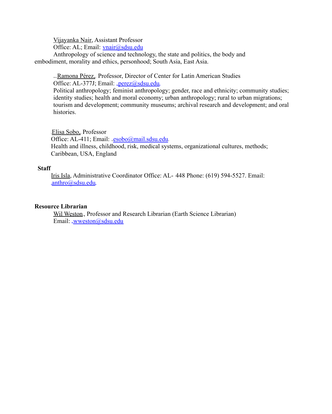Vijayanka Nair, Assistant Professor

Office: AL; Email: [vnair@sdsu.edu](mailto:vnair@sdsu.edu)

 embodiment, morality and ethics, personhood; South Asia, East Asia. Anthropology of science and technology, the state and politics, the body and

Ramona Pérez, Professor, Director of Center for Latin American Studies Office: AL-377J; Email:  ${}_{\psi}$ [perez@sdsu.edu](mailto:HUperez@sdsu.eduU)

Political anthropology; feminist anthropology; gender, race and ethnicity; community studies; identity studies; health and moral economy; urban anthropology; rural to urban migrations; tourism and development; community museums; archival research and development; and oral histories.

Elisa Sobo, Professor Office: AL-411; Email:  $\text{resobo}(a)$ mail.sdsu.edu. Health and illness, childhood, risk, medical systems, organizational cultures, methods; Caribbean, USA, England

#### **Staff**

Iris Isla, Administrative Coordinator Office: AL- 448 Phone: (619) 594-5527. Email: .[anthro@sdsu.edu](mailto:Uanthro@sdsu.eduU)

#### **Resource Librarian**

Wil Weston, Professor and Research Librarian (Earth Science Librarian) Email: [wweston@sdsu.edu](mailto:wweston@sdsu.edu)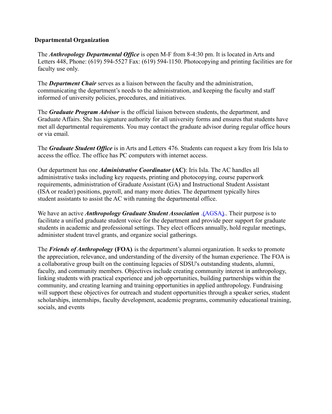#### **Departmental Organization**

The *Anthropology Departmental Office* is open M-F from 8-4:30 pm. It is located in Arts and Letters 448, Phone: (619) 594-5527 Fax: (619) 594-1150. Photocopying and printing facilities are for faculty use only.

The *Department Chair* serves as a liaison between the faculty and the administration, communicating the department's needs to the administration, and keeping the faculty and staff informed of university policies, procedures, and initiatives.

The *Graduate Program Advisor* is the official liaison between students, the department, and Graduate Affairs. She has signature authority for all university forms and ensures that students have met all departmental requirements. You may contact the graduate advisor during regular office hours or via email.

The *Graduate Student Office* is in Arts and Letters 476. Students can request a key from Iris Isla to access the office. The office has PC computers with internet access.

Our department has one *Administrative Coordinator* **(AC)**: Iris Isla. The AC handles all administrative tasks including key requests, printing and photocopying, course paperwork requirements, administration of Graduate Assistant (GA) and Instructional Student Assistant (ISA or reader) positions, payroll, and many more duties. The department typically hires student assistants to assist the AC with running the departmental office.

We have an active *Anthropology Graduate Student Association*  $\sqrt{AGSA}$  $\sqrt{AGSA}$  $\sqrt{AGSA}$ . Their purpose is to facilitate a unified graduate student voice for the department and provide peer support for graduate students in academic and professional settings. They elect officers annually, hold regular meetings, administer student travel grants, and organize social gatherings.

The *Friends of Anthropology* (FOA) is the department's alumni organization. It seeks to promote the appreciation, relevance, and understanding of the diversity of the human experience. The FOA is a collaborative group built on the continuing legacies of SDSU's outstanding students, alumni, faculty, and community members. Objectives include creating community interest in anthropology, linking students with practical experience and job opportunities, building partnerships within the community, and creating learning and training opportunities in applied anthropology. Fundraising will support these objectives for outreach and student opportunities through a speaker series, student scholarships, internships, faculty development, academic programs, community educational training, socials, and events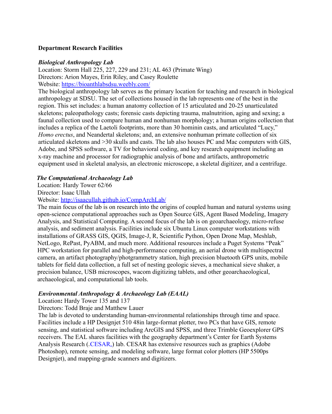#### **Department Research Facilities**

#### *Biological Anthropology Lab*

Location: Storm Hall 225, 227, 229 and 231; AL 463 (Primate Wing) Directors: Arion Mayes, Erin Riley, and Casey Roulette Website: <https://bioanthlabsdsu.weebly.com/>

The biological anthropology lab serves as the primary location for teaching and research in biological anthropology at SDSU. The set of collections housed in the lab represents one of the best in the region. This set includes: a human anatomy collection of 15 articulated and 20-25 unarticulated skeletons; paleopathology casts; forensic casts depicting trauma, malnutrition, aging and sexing; a faunal collection used to compare human and nonhuman morphology; a human origins collection that includes a replica of the Laetoli footprints, more than 30 hominin casts, and articulated "Lucy," *Homo erectus*, and Neandertal skeletons; and, an extensive nonhuman primate collection of six articulated skeletons and >30 skulls and casts. The lab also houses PC and Mac computers with GIS, Adobe, and SPSS software, a TV for behavioral coding, and key research equipment including an x-ray machine and processor for radiographic analysis of bone and artifacts, anthropometric equipment used in skeletal analysis, an electronic microscope, a skeletal digitizer, and a centrifuge.

#### *The Computational Archaeology Lab*

Location: Hardy Tower 62/66

Director: Isaac Ullah

Website: <http://isaacullah.github.io/CompArchLab/>

The main focus of the lab is on research into the origins of coupled human and natural systems using open-science computational approaches such as Open Source GIS, Agent Based Modeling, Imagery Analysis, and Statistical Computing. A second focus of the lab is on geoarchaeology, micro-refuse analysis, and sediment analysis. Facilities include six Ubuntu Linux computer workstations with installations of GRASS GIS, QGIS, Image-J, R, Scientific Python, Open Drone Map, Meshlab, NetLogo, RePast, PyABM, and much more. Additional resources include a Puget Systems "Peak" HPC workstation for parallel and high-performance computing, an aerial drone with multispectral camera, an artifact photography/photgrammetry station, high precision bluetooth GPS units, mobile tablets for field data collection, a full set of nesting geologic sieves, a mechanical sieve shaker, a precision balance, USB microscopes, wacom digitizing tablets, and other geoarchaeological, archaeological, and computational lab tools.

#### *Environmental Anthropology & Archaeology Lab (EAAL)*

Location**:** Hardy Tower 135 and 137

Directors: Todd Braje and Matthew Lauer

The lab is devoted to understanding human-environmental relationships through time and space. Facilities include a HP Designjet 510 48in large-format plotter, two PCs that have GIS, remote sensing, and statistical software including ArcGIS and SPSS, and three Trimble Geoexplorer GPS receivers. The EAL shares facilities with the geography department's Center for Earth Systems Analysis Research ( $\angle$ [CESAR](https://cesar-geography.sdsu.edu/) $_{\diamond}$ ) lab. CESAR has extensive resources such as graphics (Adobe Photoshop), remote sensing, and modeling software, large format color plotters (HP 5500ps Designjet), and mapping-grade scanners and digitizers.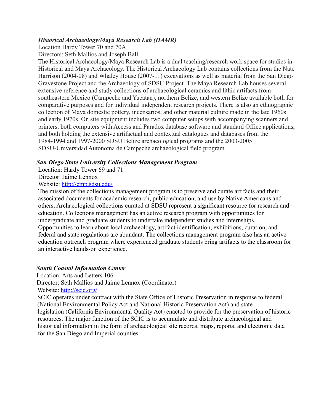#### *Historical Archaeology/Maya Research Lab (HAMR)*

Location Hardy Tower 70 and 70A

Directors: Seth Mallios and Joseph Ball

The Historical Archaeology/Maya Research Lab is a dual teaching/research work space for studies in Historical and Maya Archaeology. The Historical Archaeology Lab contains collections from the Nate Harrison (2004-08) and Whaley House (2007-11) excavations as well as material from the San Diego Gravestone Project and the Archaeology of SDSU Project. The Maya Research Lab houses several extensive reference and study collections of archaeological ceramics and lithic artifacts from southeastern Mexico (Campeche and Yucatan), northern Belize, and western Belize available both for comparative purposes and for individual independent research projects. There is also an ethnographic collection of Maya domestic pottery, incensarios, and other material culture made in the late 1960s and early 1970s. On site equipment includes two computer setups with accompanying scanners and printers, both computers with Access and Paradox database software and standard Office applications, and both holding the extensive artifactual and contextual catalogues and databases from the 1984-1994 and 1997-2000 SDSU Belize archaeological programs and the 2003-2005 SDSU-Universidad Autónoma de Campeche archaeological field program.

# *San Diego State University Collections Management Program*

Location: Hardy Tower 69 and 71

Director: Jaime Lennox

Website: <http://cmp.sdsu.edu/>

The mission of the collections management program is to preserve and curate artifacts and their associated documents for academic research, public education, and use by Native Americans and others. Archaeological collections curated at SDSU represent a significant resource for research and education. Collections management has an active research program with opportunities for undergraduate and graduate students to undertake independent studies and internships. Opportunities to learn about local archaeology, artifact identification, exhibitions, curation, and federal and state regulations are abundant. The collections management program also has an active education outreach program where experienced graduate students bring artifacts to the classroom for an interactive hands-on experience.

# *South Coastal Information Center*

Location: Arts and Letters 106

Director: Seth Mallios and Jaime Lennox (Coordinator) Website: <http://scic.org/>

SCIC operates under contract with the State Office of Historic Preservation in response to federal (National Environmental Policy Act and National Historic Preservation Act) and state legislation (California Environmental Quality Act) enacted to provide for the preservation of historic resources. The major function of the SCIC is to accumulate and distribute archaeological and historical information in the form of archaeological site records, maps, reports, and electronic data for the San Diego and Imperial counties.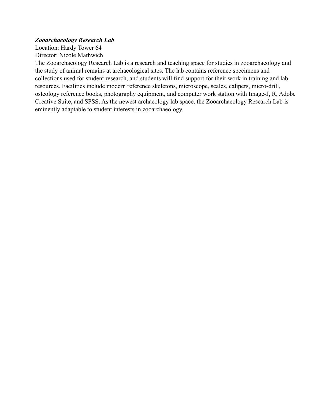#### *Zooarchaeology Research Lab*

Location: Hardy Tower 64 Director: Nicole Mathwich

The Zooarchaeology Research Lab is a research and teaching space for studies in zooarchaeology and the study of animal remains at archaeological sites. The lab contains reference specimens and collections used for student research, and students will find support for their work in training and lab resources. Facilities include modern reference skeletons, microscope, scales, calipers, micro-drill, osteology reference books, photography equipment, and computer work station with Image-J, R, Adobe Creative Suite, and SPSS. As the newest archaeology lab space, the Zooarchaeology Research Lab is eminently adaptable to student interests in zooarchaeology.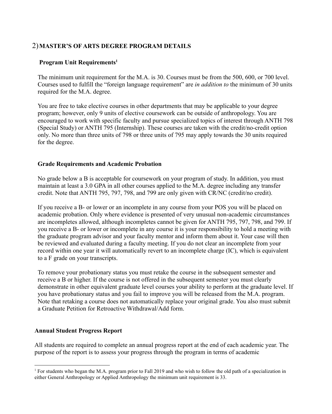# 2)**MASTER'S OF ARTS DEGREE PROGRAM DETAILS**

# **Program Unit Requirements1**

The minimum unit requirement for the M.A. is 30. Courses must be from the 500, 600, or 700 level. Courses used to fulfill the "foreign language requirement" are *in addition to* the minimum of 30 units required for the M.A. degree.

You are free to take elective courses in other departments that may be applicable to your degree program; however, only 9 units of elective coursework can be outside of anthropology. You are encouraged to work with specific faculty and pursue specialized topics of interest through ANTH 798 (Special Study) or ANTH 795 (Internship). These courses are taken with the credit/no-credit option only. No more than three units of 798 or three units of 795 may apply towards the 30 units required for the degree.

# **Grade Requirements and Academic Probation**

No grade below a B is acceptable for coursework on your program of study. In addition, you must maintain at least a 3.0 GPA in all other courses applied to the M.A. degree including any transfer credit. Note that ANTH 795, 797, 798, and 799 are only given with CR/NC (credit/no credit).

If you receive a B- or lower or an incomplete in any course from your POS you will be placed on academic probation. Only where evidence is presented of very unusual non-academic circumstances are incompletes allowed, although incompletes cannot be given for ANTH 795, 797, 798, and 799. If you receive a B- or lower or incomplete in any course it is your responsibility to hold a meeting with the graduate program advisor and your faculty mentor and inform them about it. Your case will then be reviewed and evaluated during a faculty meeting. If you do not clear an incomplete from your record within one year it will automatically revert to an incomplete charge (IC), which is equivalent to a F grade on your transcripts.

To remove your probationary status you must retake the course in the subsequent semester and receive a B or higher. If the course is not offered in the subsequent semester you must clearly demonstrate in other equivalent graduate level courses your ability to perform at the graduate level. If you have probationary status and you fail to improve you will be released from the M.A. program. Note that retaking a course does not automatically replace your original grade. You also must submit a Graduate Petition for Retroactive Withdrawal/Add form.

# **Annual Student Progress Report**

All students are required to complete an annual progress report at the end of each academic year. The purpose of the report is to assess your progress through the program in terms of academic

<sup>&</sup>lt;sup>1</sup> For students who began the M.A. program prior to Fall 2019 and who wish to follow the old path of a specialization in either General Anthropology or Applied Anthropology the minimum unit requirement is 33.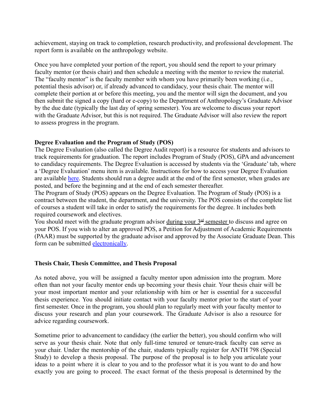achievement, staying on track to completion, research productivity, and professional development. The report form is available on the anthropology website.

Once you have completed your portion of the report, you should send the report to your primary faculty mentor (or thesis chair) and then schedule a meeting with the mentor to review the material. The "faculty mentor" is the faculty member with whom you have primarily been working (i.e., potential thesis advisor) or, if already advanced to candidacy, your thesis chair. The mentor will complete their portion at or before this meeting, you and the mentor will sign the document, and you then submit the signed a copy (hard or e-copy) to the Department of Anthropology's Graduate Advisor by the due date (typically the last day of spring semester). You are welcome to discuss your report with the Graduate Advisor, but this is not required. The Graduate Advisor will also review the report to assess progress in the program.

#### **Degree Evaluation and the Program of Study (POS)**

The Degree Evaluation (also called the Degree Audit report) is a resource for students and advisors to track requirements for graduation. The report includes Program of Study (POS), GPA and advancement to candidacy requirements. The Degree Evaluation is accessed by students via the 'Graduate' tab, where a 'Degree Evaluation' menu item is available. Instructions for how to access your Degree Evaluation are available [here.](https://grad.sdsu.edu/current_grad_students/Degree%20Evaluation%20-%20Student%20Access%20Guide.pdf) Students should run a degree audit at the end of the first semester, when grades are posted, and before the beginning and at the end of each semester thereafter.

The Program of Study (POS) appears on the Degree Evaluation. The Program of Study (POS) is a contract between the student, the department, and the university. The POS consists of the complete list of courses a student will take in order to satisfy the requirements for the degree. It includes both required coursework and electives.

You should meet with the graduate program advisor during your  $3<sup>rd</sup>$  semester to discuss and agree on your POS. If you wish to alter an approved POS, a Petition for Adjustment of Academic Requirements (PAAR) must be supported by the graduate advisor and approved by the Associate Graduate Dean. This form can be submitted [electronically.](https://grad.sdsu.edu/grad_advisors/eforms)

#### **Thesis Chair, Thesis Committee, and Thesis Proposal**

As noted above, you will be assigned a faculty mentor upon admission into the program. More often than not your faculty mentor ends up becoming your thesis chair. Your thesis chair will be your most important mentor and your relationship with him or her is essential for a successful thesis experience. You should initiate contact with your faculty mentor prior to the start of your first semester. Once in the program, you should plan to regularly meet with your faculty mentor to discuss your research and plan your coursework. The Graduate Advisor is also a resource for advice regarding coursework.

Sometime prior to advancement to candidacy (the earlier the better), you should confirm who will serve as your thesis chair. Note that only full-time tenured or tenure-track faculty can serve as your chair. Under the mentorship of the chair, students typically register for ANTH 798 (Special Study) to develop a thesis proposal. The purpose of the proposal is to help you articulate your ideas to a point where it is clear to you and to the professor what it is you want to do and how exactly you are going to proceed. The exact format of the thesis proposal is determined by the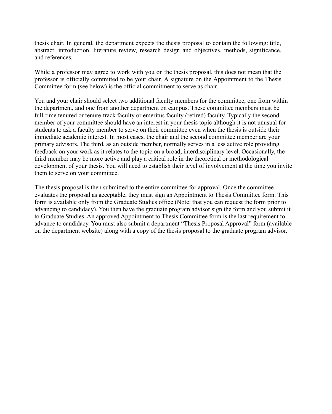thesis chair. In general, the department expects the thesis proposal to contain the following: title, abstract, introduction, literature review, research design and objectives, methods, significance, and references.

While a professor may agree to work with you on the thesis proposal, this does not mean that the professor is officially committed to be your chair. A signature on the Appointment to the Thesis Committee form (see below) is the official commitment to serve as chair.

You and your chair should select two additional faculty members for the committee, one from within the department, and one from another department on campus. These committee members must be full-time tenured or tenure-track faculty or emeritus faculty (retired) faculty. Typically the second member of your committee should have an interest in your thesis topic although it is not unusual for students to ask a faculty member to serve on their committee even when the thesis is outside their immediate academic interest. In most cases, the chair and the second committee member are your primary advisors. The third, as an outside member, normally serves in a less active role providing feedback on your work as it relates to the topic on a broad, interdisciplinary level. Occasionally, the third member may be more active and play a critical role in the theoretical or methodological development of your thesis. You will need to establish their level of involvement at the time you invite them to serve on your committee.

The thesis proposal is then submitted to the entire committee for approval. Once the committee evaluates the proposal as acceptable, they must sign an Appointment to Thesis Committee form. This form is available only from the Graduate Studies office (Note: that you can request the form prior to advancing to candidacy). You then have the graduate program advisor sign the form and you submit it to Graduate Studies. An approved Appointment to Thesis Committee form is the last requirement to advance to candidacy. You must also submit a department "Thesis Proposal Approval" form (available on the department website) along with a copy of the thesis proposal to the graduate program advisor.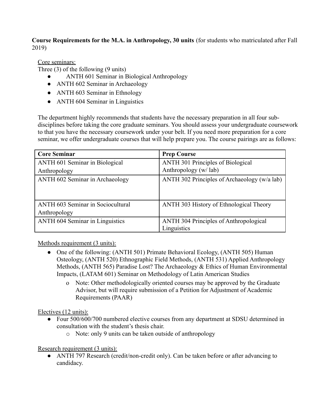**Course Requirements for the M.A. in Anthropology, 30 units** (for students who matriculated after Fall 2019)

Core seminars:

Three (3) of the following (9 units)

- ANTH 601 Seminar in Biological Anthropology
- ANTH 602 Seminar in Archaeology
- ANTH 603 Seminar in Ethnology
- ANTH 604 Seminar in Linguistics

The department highly recommends that students have the necessary preparation in all four subdisciplines before taking the core graduate seminars. You should assess your undergraduate coursework to that you have the necessary coursework under your belt. If you need more preparation for a core seminar, we offer undergraduate courses that will help prepare you. The course pairings are as follows:

| <b>Core Seminar</b>                    | <b>Prep Course</b>                            |
|----------------------------------------|-----------------------------------------------|
| ANTH 601 Seminar in Biological         | <b>ANTH 301 Principles of Biological</b>      |
| Anthropology                           | Anthropology (w/lab)                          |
| ANTH 602 Seminar in Archaeology        | ANTH 302 Principles of Archaeology (w/a lab)  |
| ANTH 603 Seminar in Sociocultural      | ANTH 303 History of Ethnological Theory       |
| Anthropology                           |                                               |
| <b>ANTH 604 Seminar in Linguistics</b> | <b>ANTH 304 Principles of Anthropological</b> |
|                                        | Linguistics                                   |

Methods requirement (3 units):

- One of the following: (ANTH 501) Primate Behavioral Ecology, (ANTH 505) Human Osteology, (ANTH 520) Ethnographic Field Methods, (ANTH 531) Applied Anthropology Methods, (ANTH 565) Paradise Lost? The Archaeology & Ethics of Human Environmental Impacts, (LATAM 601) Seminar on Methodology of Latin American Studies
	- o Note: Other methodologically oriented courses may be approved by the Graduate Advisor, but will require submission of a Petition for Adjustment of Academic Requirements (PAAR)

Electives (12 units):

- Four 500/600/700 numbered elective courses from any department at SDSU determined in consultation with the student's thesis chair.
	- o Note: only 9 units can be taken outside of anthropology

# Research requirement (3 units):

• ANTH 797 Research (credit/non-credit only). Can be taken before or after advancing to candidacy.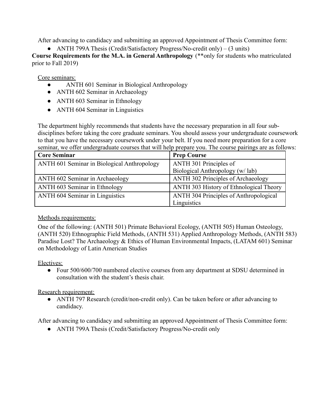After advancing to candidacy and submitting an approved Appointment of Thesis Committee form:

• ANTH 799A Thesis (Credit/Satisfactory Progress/No-credit only) – (3 units)

**Course Requirements for the M.A. in General Anthropology** (\*\*only for students who matriculated prior to Fall 2019)

Core seminars:

- ANTH 601 Seminar in Biological Anthropology
- ANTH 602 Seminar in Archaeology
- ANTH 603 Seminar in Ethnology
- ANTH 604 Seminar in Linguistics

The department highly recommends that students have the necessary preparation in all four subdisciplines before taking the core graduate seminars. You should assess your undergraduate coursework to that you have the necessary coursework under your belt. If you need more preparation for a core seminar, we offer undergraduate courses that will help prepare you. The course pairings are as follows:

| <b>Core Seminar</b>                         | <b>Prep Course</b>                            |
|---------------------------------------------|-----------------------------------------------|
| ANTH 601 Seminar in Biological Anthropology | ANTH 301 Principles of                        |
|                                             | Biological Anthropology (w/lab)               |
| ANTH 602 Seminar in Archaeology             | <b>ANTH 302 Principles of Archaeology</b>     |
| ANTH 603 Seminar in Ethnology               | ANTH 303 History of Ethnological Theory       |
| ANTH 604 Seminar in Linguistics             | <b>ANTH 304 Principles of Anthropological</b> |
|                                             | Linguistics                                   |

# Methods requirements:

One of the following: (ANTH 501) Primate Behavioral Ecology, (ANTH 505) Human Osteology, (ANTH 520) Ethnographic Field Methods, (ANTH 531) Applied Anthropology Methods, (ANTH 583) Paradise Lost? The Archaeology & Ethics of Human Environmental Impacts, (LATAM 601) Seminar on Methodology of Latin American Studies

Electives:

• Four  $500/600/700$  numbered elective courses from any department at SDSU determined in consultation with the student's thesis chair.

Research requirement:

• ANTH 797 Research (credit/non-credit only). Can be taken before or after advancing to candidacy.

After advancing to candidacy and submitting an approved Appointment of Thesis Committee form:

● ANTH 799A Thesis (Credit/Satisfactory Progress/No-credit only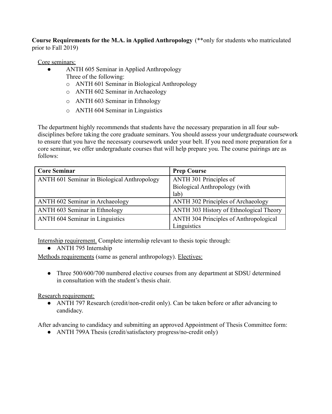**Course Requirements for the M.A. in Applied Anthropology** (\*\*only for students who matriculated prior to Fall 2019)

#### Core seminars:

- ANTH 605 Seminar in Applied Anthropology
	- Three of the following:
	- o ANTH 601 Seminar in Biological Anthropology
	- o ANTH 602 Seminar in Archaeology
	- o ANTH 603 Seminar in Ethnology
	- o ANTH 604 Seminar in Linguistics

The department highly recommends that students have the necessary preparation in all four subdisciplines before taking the core graduate seminars. You should assess your undergraduate coursework to ensure that you have the necessary coursework under your belt. If you need more preparation for a core seminar, we offer undergraduate courses that will help prepare you. The course pairings are as follows:

| <b>Core Seminar</b>                         | <b>Prep Course</b>                            |
|---------------------------------------------|-----------------------------------------------|
| ANTH 601 Seminar in Biological Anthropology | ANTH 301 Principles of                        |
|                                             | Biological Anthropology (with                 |
|                                             | lab)                                          |
| ANTH 602 Seminar in Archaeology             | <b>ANTH 302 Principles of Archaeology</b>     |
| ANTH 603 Seminar in Ethnology               | ANTH 303 History of Ethnological Theory       |
| <b>ANTH 604 Seminar in Linguistics</b>      | <b>ANTH 304 Principles of Anthropological</b> |
|                                             | Linguistics                                   |

Internship requirement. Complete internship relevant to thesis topic through:

• ANTH 795 Internship

Methods requirements (same as general anthropology). Electives:

• Three 500/600/700 numbered elective courses from any department at SDSU determined in consultation with the student's thesis chair.

# Research requirement:

• ANTH 797 Research (credit/non-credit only). Can be taken before or after advancing to candidacy.

After advancing to candidacy and submitting an approved Appointment of Thesis Committee form:

• ANTH 799A Thesis (credit/satisfactory progress/no-credit only)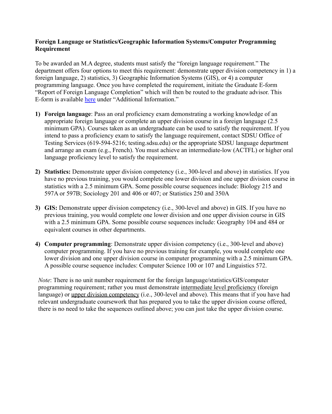#### **Foreign Language or Statistics/Geographic Information Systems/Computer Programming Requirement**

To be awarded an M.A degree, students must satisfy the "foreign language requirement." The department offers four options to meet this requirement: demonstrate upper division competency in 1) a foreign language, 2) statistics, 3) Geographic Information Systems (GIS), or 4) a computer programming language. Once you have completed the requirement, initiate the Graduate E-form "Report of Foreign Language Completion" which will then be routed to the graduate advisor. This E-form is available [here](https://grad.sdsu.edu/current_grad_students/forms#collapsed20e177_3) under "Additional Information."

- **1) Foreign language**: Pass an oral proficiency exam demonstrating a working knowledge of an appropriate foreign language or complete an upper division course in a foreign language (2.5 minimum GPA). Courses taken as an undergraduate can be used to satisfy the requirement. If you intend to pass a proficiency exam to satisfy the language requirement, contact SDSU Office of Testing Services (619-594-5216; [testing.sdsu.edu\)](https://testing.sdsu.edu) or the appropriate SDSU language department and arrange an exam (e.g., French). You must achieve an intermediate-low (ACTFL) or higher oral language proficiency level to satisfy the requirement.
- **2) Statistics:** Demonstrate upper division competency (i.e., 300-level and above) in statistics. If you have no previous training, you would complete one lower division and one upper division course in statistics with a 2.5 minimum GPA. Some possible course sequences include: Biology 215 and 597A or 597B; Sociology 201 and 406 or 407; or Statistics 250 and 350A
- **3) GIS:** Demonstrate upper division competency (i.e., 300-level and above) in GIS. If you have no previous training, you would complete one lower division and one upper division course in GIS with a 2.5 minimum GPA. Some possible course sequences include: Geography 104 and 484 or equivalent courses in other departments.
- **4) Computer programming**: Demonstrate upper division competency (i.e., 300-level and above) computer programming. If you have no previous training for example, you would complete one lower division and one upper division course in computer programming with a 2.5 minimum GPA. A possible course sequence includes: Computer Science 100 or 107 and Linguistics 572.

*Note*: There is no unit number requirement for the foreign language/statistics/GIS/computer programming requirement; rather you must demonstrate intermediate level proficiency (foreign language) or upper division competency (i.e., 300-level and above). This means that if you have had relevant undergraduate coursework that has prepared you to take the upper division course offered, there is no need to take the sequences outlined above; you can just take the upper division course.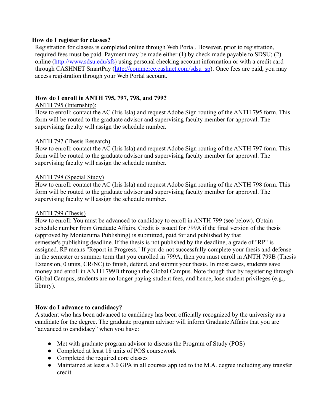#### **How do I register for classes?**

Registration for classes is completed online through Web Portal. However, prior to registration, required fees must be paid. Payment may be made either (1) by check made payable to SDSU; (2) online (<http://www.sdsu.edu/sfs>) using personal checking account information or with a credit card through CASHNET SmartPay [\(http://commerce.cashnet.com/sdsu\\_sp\)](http://commerce.cashnet.com/sdsu_sp). Once fees are paid, you may access registration through your Web Portal account.

# **How do I enroll in ANTH 795, 797, 798, and 799?**

# ANTH 795 (Internship):

How to enroll: contact the AC (Iris Isla) and request Adobe Sign routing of the ANTH 795 form. This form will be routed to the graduate advisor and supervising faculty member for approval. The supervising faculty will assign the schedule number.

# ANTH 797 (Thesis Research)

How to enroll: contact the AC (Iris Isla) and request Adobe Sign routing of the ANTH 797 form. This form will be routed to the graduate advisor and supervising faculty member for approval. The supervising faculty will assign the schedule number.

#### ANTH 798 (Special Study)

How to enroll: contact the AC (Iris Isla) and request Adobe Sign routing of the ANTH 798 form. This form will be routed to the graduate advisor and supervising faculty member for approval. The supervising faculty will assign the schedule number.

# ANTH 799 (Thesis)

How to enroll: You must be advanced to candidacy to enroll in ANTH 799 (see below). Obtain schedule number from Graduate Affairs. Credit is issued for 799A if the final version of the thesis (approved by Montezuma Publishing) is submitted, paid for and published by that semester's publishing deadline. If the thesis is not published by the deadline, a grade of "RP" is assigned. RP means "Report in Progress." If you do not successfully complete your thesis and defense in the semester or summer term that you enrolled in 799A, then you must enroll in ANTH 799B (Thesis Extension, 0 units, CR/NC) to finish, defend, and submit your thesis. In most cases, students save money and enroll in ANTH 799B through the Global Campus. Note though that by registering through Global Campus, students are no longer paying student fees, and hence, lose student privileges (e.g., library).

# **How do I advance to candidacy?**

A student who has been advanced to candidacy has been officially recognized by the university as a candidate for the degree. The graduate program advisor will inform Graduate Affairs that you are "advanced to candidacy" when you have:

- Met with graduate program advisor to discuss the Program of Study (POS)
- Completed at least 18 units of POS coursework
- Completed the required core classes
- Maintained at least a 3.0 GPA in all courses applied to the M.A. degree including any transfer credit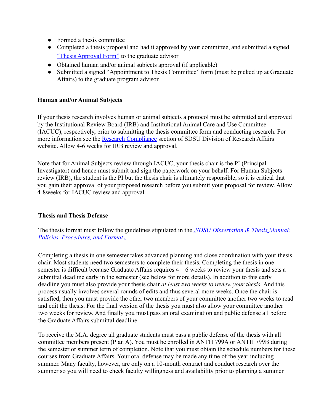- Formed a thesis committee
- Completed a thesis proposal and had it approved by your committee, and submitted a signed ["Thesis Approval Form"](https://anthropology.sdsu.edu/_resources/docs/graduate/Jan2018_Thesis_Proposal_Approval_Form.pdf) to the graduate advisor
- Obtained human and/or animal subjects approval (if applicable)
- Submitted a signed "Appointment to Thesis Committee" form (must be picked up at Graduate Affairs) to the graduate program advisor

# **Human and/or Animal Subjects**

If your thesis research involves human or animal subjects a protocol must be submitted and approved by the Institutional Review Board (IRB) and Institutional Animal Care and Use Committee (IACUC), respectively, prior to submitting the thesis committee form and conducting research. For more information see the [Research Compliance](http://newscenter.sdsu.edu/researchaffairs/draintegcomp.aspx) section of SDSU Division of Research Affairs website. Allow 4-6 weeks for IRB review and approval.

Note that for Animal Subjects review through IACUC, your thesis chair is the PI (Principal Investigator) and hence must submit and sign the paperwork on your behalf. For Human Subjects review (IRB), the student is the PI but the thesis chair is ultimately responsible, so it is critical that you gain their approval of your proposed research before you submit your proposal for review. Allow 4-8weeks for IACUC review and approval.

# **Thesis and Thesis Defense**

The thesis format must follow the guidelines stipulated in the *[SDSU Dissertation & Thesis](http://newscenter.sdsu.edu/gra/images/dissertation_and_thesis_review.pdf) Manual: [Policies, Procedures, and Format](http://newscenter.sdsu.edu/gra/images/dissertation_and_thesis_review.pdf).* 

Completing a thesis in one semester takes advanced planning and close coordination with your thesis chair. Most students need two semesters to complete their thesis. Completing the thesis in one semester is difficult because Graduate Affairs requires  $4 - 6$  weeks to review your thesis and sets a submittal deadline early in the semester (see below for more details). In addition to this early deadline you must also provide your thesis chair *at least two weeks to review your thesis*. And this process usually involves several rounds of edits and thus several more weeks. Once the chair is satisfied, then you must provide the other two members of your committee another two weeks to read and edit the thesis. For the final version of the thesis you must also allow your committee another two weeks for review. And finally you must pass an oral examination and public defense all before the Graduate Affairs submittal deadline.

To receive the M.A. degree all graduate students must pass a public defense of the thesis with all committee members present (Plan A). You must be enrolled in ANTH 799A or ANTH 799B during the semester or summer term of completion. Note that you must obtain the schedule numbers for these courses from Graduate Affairs. Your oral defense may be made any time of the year including summer. Many faculty, however, are only on a 10-month contract and conduct research over the summer so you will need to check faculty willingness and availability prior to planning a summer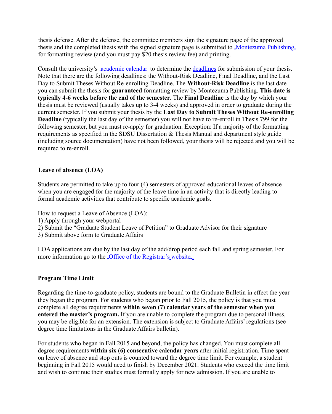thesis defense. After the defense, the committee members sign the signature page of the approved thesis and the completed thesis with the signed signature page is submitted to [Montezuma Publishing](http://www.montezumapublishing.com/) for formatting review (and you must pay \$20 thesis review fee) and printing.

Consult the university's [academic calendar](http://arweb.sdsu.edu/es/registrar/academiccalendar.html) to determine the [deadlines](http://www.montezumapublishing.com/thesisanddissertation/thesisdeadlines) for submission of your thesis. Note that there are the following deadlines: the Without-Risk Deadline, Final Deadline, and the Last Day to Submit Theses Without Re-enrolling Deadline. The **Without-Risk Deadline** is the last date you can submit the thesis for **guaranteed** formatting review by Montezuma Publishing. **This date is typically 4-6 weeks before the end of the semester**. The **Final Deadline** is the day by which your thesis must be reviewed (usually takes up to 3-4 weeks) and approved in order to graduate during the current semester. If you submit your thesis by the **Last Day to Submit Theses Without Re-enrolling Deadline** (typically the last day of the semester) you will not have to re-enroll in Thesis 799 for the following semester, but you must re-apply for graduation. Exception: If a majority of the formatting requirements as specified in the SDSU Dissertation & Thesis Manual and department style guide (including source documentation) have not been followed, your thesis will be rejected and you will be required to re-enroll.

# **Leave of absence (LOA)**

Students are permitted to take up to four (4) semesters of approved educational leaves of absence when you are engaged for the majority of the leave time in an activity that is directly leading to formal academic activities that contribute to specific academic goals.

How to request a Leave of Absence (LOA):

- 1) Apply through your webportal
- 2) Submit the "Graduate Student Leave of Petition" to Graduate Advisor for their signature
- 3) Submit above form to Graduate Affairs

LOA applications are due by the last day of the add/drop period each fall and spring semester. For more information go to the Deffice of the Registrar's website.

# **Program Time Limit**

Regarding the time-to-graduate policy, students are bound to the Graduate Bulletin in effect the year they began the program. For students who began prior to Fall 2015, the policy is that you must complete all degree requirements **within seven (7) calendar years of the semester when you entered the master's program.** If you are unable to complete the program due to personal illness, you may be eligible for an extension. The extension is subject to Graduate Affairs' regulations (see degree time limitations in the Graduate Affairs bulletin).

For students who began in Fall 2015 and beyond, the policy has changed. You must complete all degree requirements **within six (6) consecutive calendar years** after initial registration. Time spent on leave of absence and stop outs is counted toward the degree time limit. For example, a student beginning in Fall 2015 would need to finish by December 2021. Students who exceed the time limit and wish to continue their studies must formally apply for new admission. If you are unable to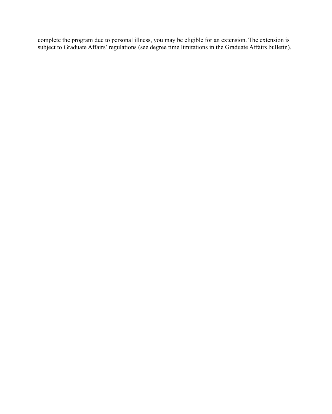complete the program due to personal illness, you may be eligible for an extension. The extension is subject to Graduate Affairs' regulations (see degree time limitations in the Graduate Affairs bulletin).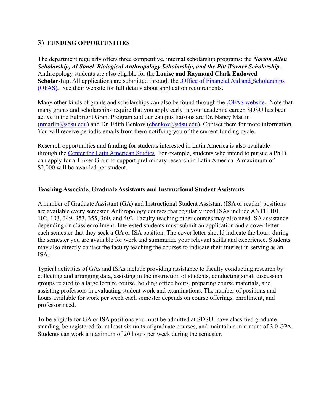# 3) **FUNDING OPPORTUNITIES**

The department regularly offers three competitive, internal scholarship programs: the *Norton Allen Scholarship, Al Sonek Biological Anthropology Scholarship, and the Pitt Warner Scholarship*. Anthropology students are also eligible for the **Louise and Raymond Clark Endowed Scholarship**. All applications are submitted through the **Office** of Financial Aid and Scholarships [\(OFAS\)](http://go.sdsu.edu/student_affairs/financialaid/)... See their website for full details about application requirements.

Many other kinds of grants and scholarships can also be found through the J[OFAS website](http://go.sdsu.edu/student_affairs/financialaid/). Note that many grants and scholarships require that you apply early in your academic career. SDSU has been active in the Fulbright Grant Program and our campus liaisons are Dr. Nancy Marlin  $(\text{mmarlin}(a)$ sdsu.edu) and Dr. Edith Benkov (ebenkov $(a)$ sdsu.edu). Contact them for more information. You will receive periodic emails from them notifying you of the current funding cycle.

Research opportunities and funding for students interested in Latin America is also available through the [Center for Latin American Studies.](http://latinamericanstudies.sdsu.edu/) For example, students who intend to pursue a Ph.D. can apply for a Tinker Grant to support preliminary research in Latin America. A maximum of \$2,000 will be awarded per student.

#### **Teaching Associate, Graduate Assistants and Instructional Student Assistants**

A number of Graduate Assistant (GA) and Instructional Student Assistant (ISA or reader) positions are available every semester. Anthropology courses that regularly need ISAs include ANTH 101, 102, 103, 349, 353, 355, 360, and 402. Faculty teaching other courses may also need ISA assistance depending on class enrollment. Interested students must submit an application and a cover letter each semester that they seek a GA or ISA position. The cover letter should indicate the hours during the semester you are available for work and summarize your relevant skills and experience. Students may also directly contact the faculty teaching the courses to indicate their interest in serving as an ISA.

Typical activities of GAs and ISAs include providing assistance to faculty conducting research by collecting and arranging data, assisting in the instruction of students, conducting small discussion groups related to a large lecture course, holding office hours, preparing course materials, and assisting professors in evaluating student work and examinations. The number of positions and hours available for work per week each semester depends on course offerings, enrollment, and professor need.

To be eligible for GA or ISA positions you must be admitted at SDSU, have classified graduate standing, be registered for at least six units of graduate courses, and maintain a minimum of 3.0 GPA. Students can work a maximum of 20 hours per week during the semester.